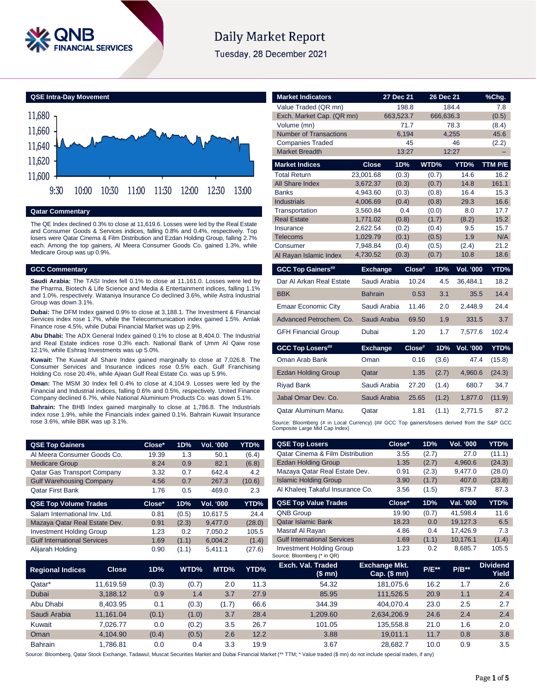

# Daily Market Report

Tuesday, 28 December 2021

**QSE Intra-Day Movement**



#### **Qatar Commentary**

The QE Index declined 0.3% to close at 11,619.6. Losses were led by the Real Estate and Consumer Goods & Services indices, falling 0.8% and 0.4%, respectively. Top losers were Qatar Cinema & Film Distribution and Ezdan Holding Group, falling 2.7% each. Among the top gainers, Al Meera Consumer Goods Co. gained 1.3%, while Medicare Group was up 0.9%.

#### **GCC Commentary**

**Saudi Arabia:** The TASI Index fell 0.1% to close at 11,161.0. Losses were led by the Pharma, Biotech & Life Science and Media & Entertainment indices, falling 1.1% and 1.0%, respectively. Wataniya Insurance Co declined 3.6%, while Astra Industrial Group was down 3.1%.

**Dubai:** The DFM Index gained 0.9% to close at 3,188.1. The Investment & Financial Services index rose 1.7%, while the Telecommunication index gained 1.5%. Amlak Finance rose 4.5%, while Dubai Financial Market was up 2.9%.

**Abu Dhabi:** The ADX General Index gained 0.1% to close at 8,404.0. The Industrial and Real Estate indices rose 0.3% each. National Bank of Umm Al Qaiw rose 12.1%, while Eshraq Investments was up 5.0%.

**Kuwait:** The Kuwait All Share Index gained marginally to close at 7,026.8. The Consumer Services and Insurance indices rose 0.5% each. Gulf Franchising Holding Co. rose 20.4%, while Ajwan Gulf Real Estate Co. was up 5.9%.

**Oman:** The MSM 30 Index fell 0.4% to close at 4,104.9. Losses were led by the Financial and Industrial indices, falling 0.6% and 0.5%, respectively. United Finance Company declined 6.7%, while National Aluminium Products Co. was down 5.1%.

**Bahrain:** The BHB Index gained marginally to close at 1,786.8. The Industrials index rose 1.9%, while the Financials index gained 0.1%. Bahrain Kuwait Insurance rose 3.6%, while BBK was up 3.1%.

| <b>Market Indicators</b>                                                |                      | 27 Dec 21      |        | 26 Dec 21      |                  | %Chg.                                      |
|-------------------------------------------------------------------------|----------------------|----------------|--------|----------------|------------------|--------------------------------------------|
| Value Traded (QR mn)                                                    |                      | 198.8          |        |                | 184.4            | 7.8                                        |
| Exch. Market Cap. (QR mn)                                               |                      | 663,523.7      |        | 666,636.3      |                  | (0.5)                                      |
| Volume (mn)                                                             |                      | 71.7           |        |                | 78.3             | (8.4)                                      |
| <b>Number of Transactions</b>                                           |                      | 6,194          |        | 4,255          |                  | 45.6                                       |
| <b>Companies Traded</b>                                                 |                      | 45             |        |                | 46               | (2.2)                                      |
| <b>Market Breadth</b>                                                   |                      | 13:27          |        |                | 12:27            |                                            |
| <b>Market Indices</b>                                                   | <b>Close</b>         | 1D%            |        | WTD%           | YTD%             | <b>TTM P/E</b>                             |
| <b>Total Return</b>                                                     | 23,001.68            | (0.3)          |        | (0.7)          | 14.6             | 16.2                                       |
| All Share Index                                                         | 3,672.37             | (0.3)          |        | (0.7)          | 14.8             | 161.1                                      |
| <b>Banks</b>                                                            | 4,943.60             | (0.3)          |        | (0.8)          | 16.4             | 15.3                                       |
| <b>Industrials</b>                                                      | 4,006.69             | (0.4)          |        | (0.8)          | 29.3             | 16.6                                       |
| Transportation                                                          | 3,560.84             | 0.4            |        | (0.0)          | 8.0              | 17.7                                       |
| <b>Real Estate</b>                                                      | 1,771.02             | (0.8)          |        | (1.7)          | (8.2)            | 15.2                                       |
| Insurance                                                               | 2.622.54             | (0.2)          |        | (0.4)          | 9.5              | 15.7                                       |
| Telecoms                                                                | 1,029.79             | (0.1)          |        | (0.5)          | 1.9              | N/A                                        |
| Consumer                                                                | 7,948.84<br>4,730.52 | (0.4)<br>(0.3) |        | (0.5)<br>(0.7) | (2.4)<br>10.8    | 21.2<br>18.6                               |
| Al Rayan Islamic Index                                                  |                      |                |        |                |                  |                                            |
| <b>GCC Top Gainers##</b>                                                | <b>Exchange</b>      |                | Close# | 1D%            | <b>Vol. '000</b> | YTD%                                       |
| Dar Al Arkan Real Estate                                                | Saudi Arabia         |                | 10.24  | 4.5            | 36,484.1         | 18.2                                       |
| <b>BBK</b>                                                              | <b>Bahrain</b>       |                | 0.53   | 3.1            | 35.5             | 14.4                                       |
|                                                                         |                      |                |        |                |                  |                                            |
|                                                                         | Saudi Arabia         |                | 11.46  | 2.0            | 2.448.9          |                                            |
| <b>Emaar Economic City</b><br>Advanced Petrochem, Co.                   | Saudi Arabia         |                | 69.50  | 1.9            | 331.5            | 24.4<br>3.7                                |
| <b>GFH Financial Group</b>                                              | Dubai                |                | 1.20   | 1.7            | 7,577.6          | 102.4                                      |
| <b>GCC Top Losers##</b>                                                 | <b>Exchange</b>      |                | Close# | 1D%            | <b>Vol. '000</b> | YTD%                                       |
| Oman Arab Bank                                                          | Oman                 |                | 0.16   | (3.6)          | 47.4             |                                            |
|                                                                         | Qatar                |                | 1.35   | (2.7)          | 4,960.6          |                                            |
|                                                                         | Saudi Arabia         |                | 27.20  | (1.4)          | 680.7            |                                            |
| Jabal Omar Dev. Co.                                                     | Saudi Arabia         |                | 25.65  | (1.2)          | 1,877.0          |                                            |
| <b>Ezdan Holding Group</b><br><b>Riyad Bank</b><br>Qatar Aluminum Manu. | Qatar                |                | 1.81   | (1.1)          | 2,771.5          | (15.8)<br>(24.3)<br>34.7<br>(11.9)<br>87.2 |

| <b>QSE Top Gainers</b>             |              | Close* | 1D%   | <b>Vol. '000</b> | YTD%   | <b>QSE Top Losers</b>                                                                                                                                                      | Close*                               | 1D%     | Vol. '000 | YTD%                     |
|------------------------------------|--------------|--------|-------|------------------|--------|----------------------------------------------------------------------------------------------------------------------------------------------------------------------------|--------------------------------------|---------|-----------|--------------------------|
| Al Meera Consumer Goods Co.        |              | 19.39  | 1.3   | 50.1<br>(6.4)    |        | Qatar Cinema & Film Distribution                                                                                                                                           | 3.55                                 | (2.7)   | 27.0      | (11.1)                   |
| <b>Medicare Group</b>              |              | 8.24   | 0.9   | 82.1             | (6.8)  | <b>Ezdan Holding Group</b>                                                                                                                                                 | 1.35                                 | (2.7)   | 4,960.6   | (24.3)                   |
| Qatar Gas Transport Company        |              | 3.32   | 0.7   | 642.4            | 4.2    | Mazaya Qatar Real Estate Dev.                                                                                                                                              | 0.91                                 | (2.3)   | 9,477.0   | (28.0)                   |
| <b>Gulf Warehousing Company</b>    |              | 4.56   | 0.7   | 267.3            | (10.6) | <b>Islamic Holding Group</b>                                                                                                                                               | 3.90                                 | (1.7)   | 407.0     | (23.8)                   |
| Qatar First Bank                   |              | 1.76   | 0.5   | 469.0            | 2.3    | Al Khaleej Takaful Insurance Co.                                                                                                                                           | 3.56                                 | (1.5)   | 879.7     | 87.3                     |
| <b>QSE Top Volume Trades</b>       |              | Close* | 1D%   | <b>Vol. '000</b> | YTD%   | <b>QSE Top Value Trades</b>                                                                                                                                                | Close*                               | 1D%     | Val. '000 | YTD%                     |
| Salam International Inv. Ltd.      |              | 0.81   | (0.5) | 10,617.5         | 24.4   | QNB Group                                                                                                                                                                  | 19.90                                | (0.7)   | 41,598.4  | 11.6                     |
| Mazaya Qatar Real Estate Dev.      |              | 0.91   | (2.3) | 9,477.0          | (28.0) | <b>Qatar Islamic Bank</b>                                                                                                                                                  | 18.23                                | 0.0     | 19,127.3  | 6.5                      |
| <b>Investment Holding Group</b>    |              | 1.23   | 0.2   | 7,050.2          | 105.5  | Masraf Al Rayan                                                                                                                                                            | 4.86                                 | 0.4     | 17,426.9  | 7.3                      |
| <b>Gulf International Services</b> |              | 1.69   | (1.1) | 6,004.2          | (1.4)  | <b>Gulf International Services</b>                                                                                                                                         | 1.69                                 | (1.1)   | 10,176.1  | (1.4)                    |
| Alijarah Holding                   |              | 0.90   | (1.1) | 5,411.1          | (27.6) | <b>Investment Holding Group</b><br>Source: Bloomberg (* in QR)                                                                                                             | 1.23                                 | 0.2     | 8,685.7   | 105.5                    |
| <b>Regional Indices</b>            | <b>Close</b> | 1D%    | WTD%  | MTD%             | YTD%   | Exch. Val. Traded<br>(\$mn)                                                                                                                                                | <b>Exchange Mkt.</b><br>Cap. $($mn)$ | $P/E**$ | $P/B***$  | <b>Dividend</b><br>Yield |
| Qatar*                             | 11,619.59    | (0.3)  | (0.7) | 2.0              | 11.3   | 54.32                                                                                                                                                                      | 181,075.6                            | 16.2    | 1.7       | 2.6                      |
| Dubai                              | 3,188.12     | 0.9    | 1.4   | 3.7              | 27.9   | 85.95                                                                                                                                                                      | 111,526.5                            | 20.9    | 1.1       | 2.4                      |
| Abu Dhabi                          | 8,403.95     | 0.1    | (0.3) | (1.7)            | 66.6   | 344.39                                                                                                                                                                     | 404,070.4                            | 23.0    | 2.5       | 2.7                      |
| Saudi Arabia                       | 11,161.04    | (0.1)  | (1.0) | 3.7              | 28.4   | 1,209.60                                                                                                                                                                   | 2,634,206.9                          | 24.6    | 2.4       | 2.4                      |
| Kuwait                             | 7,026.77     | 0.0    | (0.2) | 3.5              | 26.7   | 101.05                                                                                                                                                                     | 135,558.8                            | 21.0    | 1.6       | 2.0                      |
| Oman                               | 4,104.90     | (0.4)  | (0.5) | 2.6              | 12.2   | 3.88                                                                                                                                                                       | 19,011.1                             | 11.7    | 0.8       | 3.8                      |
| Bahrain                            | 1,786.81     | 0.0    | 0.4   | 3.3              | 19.9   | 3.67                                                                                                                                                                       | 28,682.7                             | 10.0    | 0.9       | 3.5                      |
|                                    |              |        |       |                  |        | urea: Plaamberg, Octor Staak Evahange, Todawul, Museot Sequrities Market and Dubai Eineneigl Market (** TTM: * Value traded (\$ mn) de not inglude anogial tradeg, if any) |                                      |         |           |                          |

Source: Bloomberg, Qatar Stock Exchange, Tadawul, Muscat S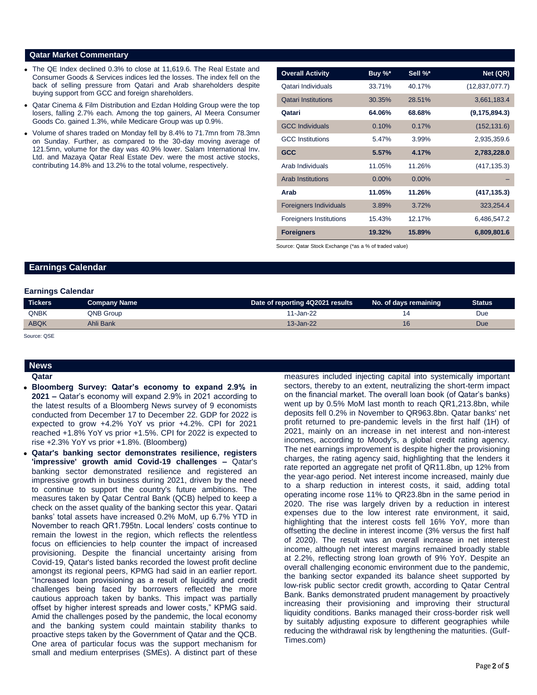### **Qatar Market Commentary**

- The QE Index declined 0.3% to close at 11,619.6. The Real Estate and Consumer Goods & Services indices led the losses. The index fell on the back of selling pressure from Qatari and Arab shareholders despite buying support from GCC and foreign shareholders.
- Qatar Cinema & Film Distribution and Ezdan Holding Group were the top losers, falling 2.7% each. Among the top gainers, Al Meera Consumer Goods Co. gained 1.3%, while Medicare Group was up 0.9%.
- Volume of shares traded on Monday fell by 8.4% to 71.7mn from 78.3mn on Sunday. Further, as compared to the 30-day moving average of 121.5mn, volume for the day was 40.9% lower. Salam International Inv. Ltd. and Mazaya Qatar Real Estate Dev. were the most active stocks, contributing 14.8% and 13.2% to the total volume, respectively.

| <b>Overall Activity</b>        | Buy $\%^*$ | Sell %*  | Net (QR)         |
|--------------------------------|------------|----------|------------------|
| Qatari Individuals             | 33.71%     | 40.17%   | (12, 837, 077.7) |
| <b>Qatari Institutions</b>     | 30.35%     | 28.51%   | 3,661,183.4      |
| Qatari                         | 64.06%     | 68.68%   | (9, 175, 894.3)  |
| <b>GCC Individuals</b>         | 0.10%      | 0.17%    | (152, 131.6)     |
| <b>GCC</b> Institutions        | 5.47%      | 3.99%    | 2,935,359.6      |
| <b>GCC</b>                     | 5.57%      | 4.17%    | 2,783,228.0      |
| Arab Individuals               | 11.05%     | 11.26%   | (417, 135.3)     |
| <b>Arab Institutions</b>       | $0.00\%$   | $0.00\%$ |                  |
| Arab                           | 11.05%     | 11.26%   | (417, 135.3)     |
| <b>Foreigners Individuals</b>  | 3.89%      | 3.72%    | 323,254.4        |
| <b>Foreigners Institutions</b> | 15.43%     | 12.17%   | 6,486,547.2      |
| <b>Foreigners</b>              | 19.32%     | 15.89%   | 6,809,801.6      |

Source: Qatar Stock Exchange (\*as a % of traded value)

### **Earnings Calendar**

#### **Earnings Calendar**

| <b>Tickers</b> | Company Name | Date of reporting 4Q2021 results | No. of days remaining | <b>Status</b> |
|----------------|--------------|----------------------------------|-----------------------|---------------|
| <b>QNBK</b>    | QNB Group    | 11-Jan-22                        |                       | Due           |
| <b>ABQK</b>    | Ahli Bank    | $13 - Jan-22$                    |                       | Due           |

Source: QSE

## **News**

#### **Qatar**

- **Bloomberg Survey: Qatar's economy to expand 2.9% in 2021 –** Qatar's economy will expand 2.9% in 2021 according to the latest results of a Bloomberg News survey of 9 economists conducted from December 17 to December 22. GDP for 2022 is expected to grow +4.2% YoY vs prior +4.2%. CPI for 2021 reached +1.8% YoY vs prior +1.5%. CPI for 2022 is expected to rise +2.3% YoY vs prior +1.8%. (Bloomberg)
- **Qatar's banking sector demonstrates resilience, registers 'impressive' growth amid Covid-19 challenges –** Qatar's banking sector demonstrated resilience and registered an impressive growth in business during 2021, driven by the need to continue to support the country's future ambitions. The measures taken by Qatar Central Bank (QCB) helped to keep a check on the asset quality of the banking sector this year. Qatari banks' total assets have increased 0.2% MoM, up 6.7% YTD in November to reach QR1.795tn. Local lenders' costs continue to remain the lowest in the region, which reflects the relentless focus on efficiencies to help counter the impact of increased provisioning. Despite the financial uncertainty arising from Covid-19, Qatar's listed banks recorded the lowest profit decline amongst its regional peers, KPMG had said in an earlier report. "Increased loan provisioning as a result of liquidity and credit challenges being faced by borrowers reflected the more cautious approach taken by banks. This impact was partially offset by higher interest spreads and lower costs," KPMG said. Amid the challenges posed by the pandemic, the local economy and the banking system could maintain stability thanks to proactive steps taken by the Government of Qatar and the QCB. One area of particular focus was the support mechanism for small and medium enterprises (SMEs). A distinct part of these

measures included injecting capital into systemically important sectors, thereby to an extent, neutralizing the short-term impact on the financial market. The overall loan book (of Qatar's banks) went up by 0.5% MoM last month to reach QR1,213.8bn, while deposits fell 0.2% in November to QR963.8bn. Qatar banks' net profit returned to pre-pandemic levels in the first half (1H) of 2021, mainly on an increase in net interest and non-interest incomes, according to Moody's, a global credit rating agency. The net earnings improvement is despite higher the provisioning charges, the rating agency said, highlighting that the lenders it rate reported an aggregate net profit of QR11.8bn, up 12% from the year-ago period. Net interest income increased, mainly due to a sharp reduction in interest costs, it said, adding total operating income rose 11% to QR23.8bn in the same period in 2020. The rise was largely driven by a reduction in interest expenses due to the low interest rate environment, it said, highlighting that the interest costs fell 16% YoY, more than offsetting the decline in interest income (3% versus the first half of 2020). The result was an overall increase in net interest income, although net interest margins remained broadly stable at 2.2%, reflecting strong loan growth of 9% YoY. Despite an overall challenging economic environment due to the pandemic, the banking sector expanded its balance sheet supported by low-risk public sector credit growth, according to Qatar Central Bank. Banks demonstrated prudent management by proactively increasing their provisioning and improving their structural liquidity conditions. Banks managed their cross-border risk well by suitably adjusting exposure to different geographies while reducing the withdrawal risk by lengthening the maturities. (Gulf-Times.com)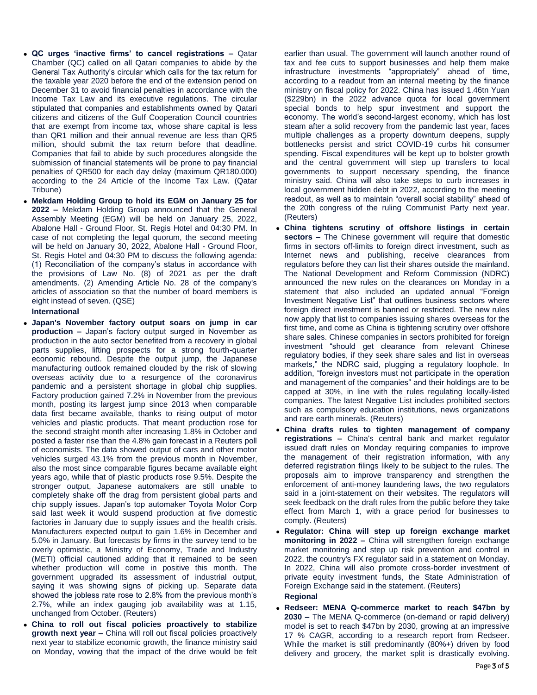- **QC urges 'inactive firms' to cancel registrations –** Qatar Chamber (QC) called on all Qatari companies to abide by the General Tax Authority's circular which calls for the tax return for the taxable year 2020 before the end of the extension period on December 31 to avoid financial penalties in accordance with the Income Tax Law and its executive regulations. The circular stipulated that companies and establishments owned by Qatari citizens and citizens of the Gulf Cooperation Council countries that are exempt from income tax, whose share capital is less than QR1 million and their annual revenue are less than QR5 million, should submit the tax return before that deadline. Companies that fail to abide by such procedures alongside the submission of financial statements will be prone to pay financial penalties of QR500 for each day delay (maximum QR180.000) according to the 24 Article of the Income Tax Law. (Qatar Tribune)
- **Mekdam Holding Group to hold its EGM on January 25 for 2022 –** Mekdam Holding Group announced that the General Assembly Meeting (EGM) will be held on January 25, 2022, Abalone Hall - Ground Floor, St. Regis Hotel and 04:30 PM. In case of not completing the legal quorum, the second meeting will be held on January 30, 2022, Abalone Hall - Ground Floor, St. Regis Hotel and 04:30 PM to discuss the following agenda: (1) Reconciliation of the company's status in accordance with the provisions of Law No. (8) of 2021 as per the draft amendments. (2) Amending Article No. 28 of the company's articles of association so that the number of board members is eight instead of seven. (QSE)

### **International**

- **Japan's November factory output soars on jump in car production –** Japan's factory output surged in November as production in the auto sector benefited from a recovery in global parts supplies, lifting prospects for a strong fourth-quarter economic rebound. Despite the output jump, the Japanese manufacturing outlook remained clouded by the risk of slowing overseas activity due to a resurgence of the coronavirus pandemic and a persistent shortage in global chip supplies. Factory production gained 7.2% in November from the previous month, posting its largest jump since 2013 when comparable data first became available, thanks to rising output of motor vehicles and plastic products. That meant production rose for the second straight month after increasing 1.8% in October and posted a faster rise than the 4.8% gain forecast in a Reuters poll of economists. The data showed output of cars and other motor vehicles surged 43.1% from the previous month in November, also the most since comparable figures became available eight years ago, while that of plastic products rose 9.5%. Despite the stronger output, Japanese automakers are still unable to completely shake off the drag from persistent global parts and chip supply issues. Japan's top automaker Toyota Motor Corp said last week it would suspend production at five domestic factories in January due to supply issues and the health crisis. Manufacturers expected output to gain 1.6% in December and 5.0% in January. But forecasts by firms in the survey tend to be overly optimistic, a Ministry of Economy, Trade and Industry (METI) official cautioned adding that it remained to be seen whether production will come in positive this month. The government upgraded its assessment of industrial output, saying it was showing signs of picking up. Separate data showed the jobless rate rose to 2.8% from the previous month's 2.7%, while an index gauging job availability was at 1.15, unchanged from October. (Reuters)
- **China to roll out fiscal policies proactively to stabilize growth next year –** China will roll out fiscal policies proactively next year to stabilize economic growth, the finance ministry said on Monday, vowing that the impact of the drive would be felt

earlier than usual. The government will launch another round of tax and fee cuts to support businesses and help them make infrastructure investments "appropriately" ahead of time, according to a readout from an internal meeting by the finance ministry on fiscal policy for 2022. China has issued 1.46tn Yuan (\$229bn) in the 2022 advance quota for local government special bonds to help spur investment and support the economy. The world's second-largest economy, which has lost steam after a solid recovery from the pandemic last year, faces multiple challenges as a property downturn deepens, supply bottlenecks persist and strict COVID-19 curbs hit consumer spending. Fiscal expenditures will be kept up to bolster growth and the central government will step up transfers to local governments to support necessary spending, the finance ministry said. China will also take steps to curb increases in local government hidden debt in 2022, according to the meeting readout, as well as to maintain "overall social stability" ahead of the 20th congress of the ruling Communist Party next year. (Reuters)

- **China tightens scrutiny of offshore listings in certain sectors –** The Chinese government will require that domestic firms in sectors off-limits to foreign direct investment, such as Internet news and publishing, receive clearances from regulators before they can list their shares outside the mainland. The National Development and Reform Commission (NDRC) announced the new rules on the clearances on Monday in a statement that also included an updated annual "Foreign Investment Negative List" that outlines business sectors where foreign direct investment is banned or restricted. The new rules now apply that list to companies issuing shares overseas for the first time, and come as China is tightening scrutiny over offshore share sales. Chinese companies in sectors prohibited for foreign investment "should get clearance from relevant Chinese regulatory bodies, if they seek share sales and list in overseas markets," the NDRC said, plugging a regulatory loophole. In addition, "foreign investors must not participate in the operation and management of the companies" and their holdings are to be capped at 30%, in line with the rules regulating locally-listed companies. The latest Negative List includes prohibited sectors such as compulsory education institutions, news organizations and rare earth minerals. (Reuters)
- **China drafts rules to tighten management of company registrations –** China's central bank and market regulator issued draft rules on Monday requiring companies to improve the management of their registration information, with any deferred registration filings likely to be subject to the rules. The proposals aim to improve transparency and strengthen the enforcement of anti-money laundering laws, the two regulators said in a joint-statement on their websites. The regulators will seek feedback on the draft rules from the public before they take effect from March 1, with a grace period for businesses to comply. (Reuters)
- **Regulator: China will step up foreign exchange market monitoring in 2022 –** China will strengthen foreign exchange market monitoring and step up risk prevention and control in 2022, the country's FX regulator said in a statement on Monday. In 2022, China will also promote cross-border investment of private equity investment funds, the State Administration of Foreign Exchange said in the statement. (Reuters) **Regional**
- **Redseer: MENA Q-commerce market to reach \$47bn by 2030 –** The MENA Q-commerce (on-demand or rapid delivery) model is set to reach \$47bn by 2030, growing at an impressive 17 % CAGR, according to a research report from Redseer. While the market is still predominantly (80%+) driven by food delivery and grocery, the market split is drastically evolving.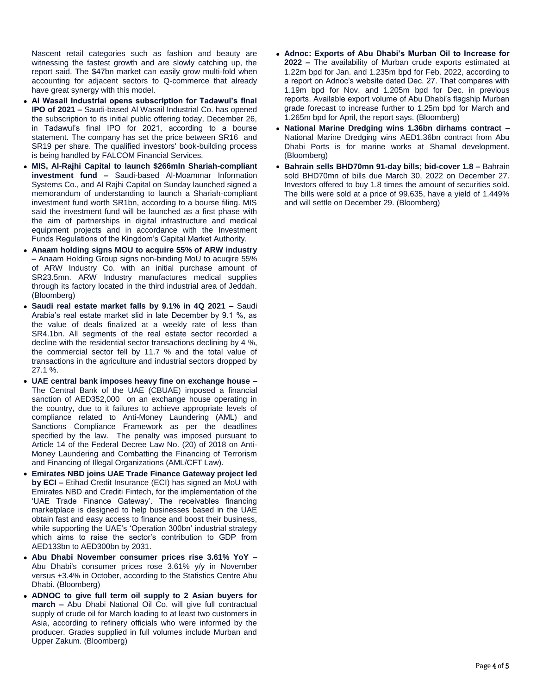Nascent retail categories such as fashion and beauty are witnessing the fastest growth and are slowly catching up, the report said. The \$47bn market can easily grow multi-fold when accounting for adjacent sectors to Q-commerce that already have great synergy with this model.

- **Al Wasail Industrial opens subscription for Tadawul's final IPO of 2021 –** Saudi-based Al Wasail Industrial Co. has opened the subscription to its initial public offering today, December 26, in Tadawul's final IPO for 2021, according to a bourse statement. The company has set the price between SR16 and SR19 per share. The qualified investors' book-building process is being handled by FALCOM Financial Services.
- **MIS, Al-Rajhi Capital to launch \$266mln Shariah-compliant investment fund –** Saudi-based Al-Moammar Information Systems Co., and Al Rajhi Capital on Sunday launched signed a memorandum of understanding to launch a Shariah-compliant investment fund worth SR1bn, according to a bourse filing. MIS said the investment fund will be launched as a first phase with the aim of partnerships in digital infrastructure and medical equipment projects and in accordance with the Investment Funds Regulations of the Kingdom's Capital Market Authority.
- **Anaam holding signs MOU to acquire 55% of ARW industry –** Anaam Holding Group signs non-binding MoU to acuqire 55% of ARW Industry Co. with an initial purchase amount of SR23.5mn. ARW Industry manufactures medical supplies through its factory located in the third industrial area of Jeddah. (Bloomberg)
- **Saudi real estate market falls by 9.1% in 4Q 2021 –** Saudi Arabia's real estate market slid in late December by 9.1 %, as the value of deals finalized at a weekly rate of less than SR4.1bn. All segments of the real estate sector recorded a decline with the residential sector transactions declining by 4 %, the commercial sector fell by 11.7 % and the total value of transactions in the agriculture and industrial sectors dropped by 27.1 %.
- **UAE central bank imposes heavy fine on exchange house –** The Central Bank of the UAE (CBUAE) imposed a financial sanction of AED352,000 on an exchange house operating in the country, due to it failures to achieve appropriate levels of compliance related to Anti-Money Laundering (AML) and Sanctions Compliance Framework as per the deadlines specified by the law. The penalty was imposed pursuant to Article 14 of the Federal Decree Law No. (20) of 2018 on Anti-Money Laundering and Combatting the Financing of Terrorism and Financing of Illegal Organizations (AML/CFT Law).
- **Emirates NBD joins UAE Trade Finance Gateway project led by ECI –** Etihad Credit Insurance (ECI) has signed an MoU with Emirates NBD and Crediti Fintech, for the implementation of the 'UAE Trade Finance Gateway'. The receivables financing marketplace is designed to help businesses based in the UAE obtain fast and easy access to finance and boost their business, while supporting the UAE's 'Operation 300bn' industrial strategy which aims to raise the sector's contribution to GDP from AED133bn to AED300bn by 2031.
- **Abu Dhabi November consumer prices rise 3.61% YoY –** Abu Dhabi's consumer prices rose 3.61% y/y in November versus +3.4% in October, according to the Statistics Centre Abu Dhabi. (Bloomberg)
- **ADNOC to give full term oil supply to 2 Asian buyers for march –** Abu Dhabi National Oil Co. will give full contractual supply of crude oil for March loading to at least two customers in Asia, according to refinery officials who were informed by the producer. Grades supplied in full volumes include Murban and Upper Zakum. (Bloomberg)
- **Adnoc: Exports of Abu Dhabi's Murban Oil to Increase for 2022 –** The availability of Murban crude exports estimated at 1.22m bpd for Jan. and 1.235m bpd for Feb. 2022, according to a report on Adnoc's website dated Dec. 27. That compares with 1.19m bpd for Nov. and 1.205m bpd for Dec. in previous reports. Available export volume of Abu Dhabi's flagship Murban grade forecast to increase further to 1.25m bpd for March and 1.265m bpd for April, the report says. (Bloomberg)
- **National Marine Dredging wins 1.36bn dirhams contract –** National Marine Dredging wins AED1.36bn contract from Abu Dhabi Ports is for marine works at Shamal development. (Bloomberg)
- **Bahrain sells BHD70mn 91-day bills; bid-cover 1.8 –** Bahrain sold BHD70mn of bills due March 30, 2022 on December 27. Investors offered to buy 1.8 times the amount of securities sold. The bills were sold at a price of 99.635, have a yield of 1.449% and will settle on December 29. (Bloomberg)